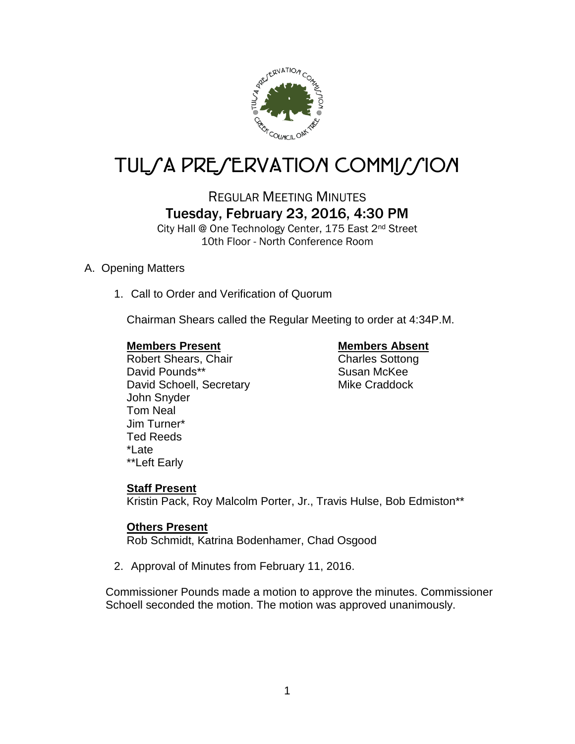

# TUL/A PRE/ERVATION COMMI*J*/ION

# REGULAR MEETING MINUTES Tuesday, February 23, 2016, 4:30 PM

City Hall @ One Technology Center, 175 East 2nd Street 10th Floor - North Conference Room

# A. Opening Matters

1. Call to Order and Verification of Quorum

Chairman Shears called the Regular Meeting to order at 4:34P.M.

### **Members Present Members Absent**

Robert Shears, Chair Charles Sottong David Pounds\*\* Susan McKee David Schoell, Secretary Mike Craddock John Snyder Tom Neal Jim Turner\* Ted Reeds \*Late \*\*Left Early

# **Staff Present**

Kristin Pack, Roy Malcolm Porter, Jr., Travis Hulse, Bob Edmiston\*\*

### **Others Present**

Rob Schmidt, Katrina Bodenhamer, Chad Osgood

2. Approval of Minutes from February 11, 2016.

Commissioner Pounds made a motion to approve the minutes. Commissioner Schoell seconded the motion. The motion was approved unanimously.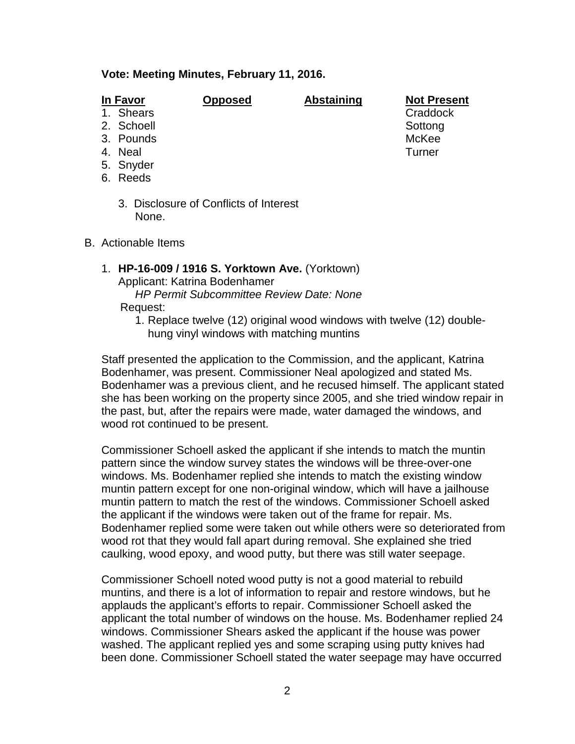#### **Vote: Meeting Minutes, February 11, 2016.**

| n Favo<br>J۱ |  |
|--------------|--|
|              |  |

**In Favor Opposed Abstaining Not Present**

- 1. Shears **Craddock**
- 2. Schoell Sottong Sottong Sottong Sottong Sottong Sottong Sottong Sottong Sottong Sottong Sottong Sottong Sottong Sottong Sottong Sottong Sottong Sottong Sottong Sottong Sottong Sottong Sottong Sottong Sottong Sottong Sot
- 
- 3. Pounds McKee
- 4. Neal Turner
- 5. Snyder
- 6. Reeds
	- 3. Disclosure of Conflicts of Interest None.
- B. Actionable Items
	- 1. **HP-16-009 / 1916 S. Yorktown Ave.** (Yorktown) Applicant: Katrina Bodenhamer *HP Permit Subcommittee Review Date: None* Request:
		- 1. Replace twelve (12) original wood windows with twelve (12) doublehung vinyl windows with matching muntins

Staff presented the application to the Commission, and the applicant, Katrina Bodenhamer, was present. Commissioner Neal apologized and stated Ms. Bodenhamer was a previous client, and he recused himself. The applicant stated she has been working on the property since 2005, and she tried window repair in the past, but, after the repairs were made, water damaged the windows, and wood rot continued to be present.

Commissioner Schoell asked the applicant if she intends to match the muntin pattern since the window survey states the windows will be three-over-one windows. Ms. Bodenhamer replied she intends to match the existing window muntin pattern except for one non-original window, which will have a jailhouse muntin pattern to match the rest of the windows. Commissioner Schoell asked the applicant if the windows were taken out of the frame for repair. Ms. Bodenhamer replied some were taken out while others were so deteriorated from wood rot that they would fall apart during removal. She explained she tried caulking, wood epoxy, and wood putty, but there was still water seepage.

Commissioner Schoell noted wood putty is not a good material to rebuild muntins, and there is a lot of information to repair and restore windows, but he applauds the applicant's efforts to repair. Commissioner Schoell asked the applicant the total number of windows on the house. Ms. Bodenhamer replied 24 windows. Commissioner Shears asked the applicant if the house was power washed. The applicant replied yes and some scraping using putty knives had been done. Commissioner Schoell stated the water seepage may have occurred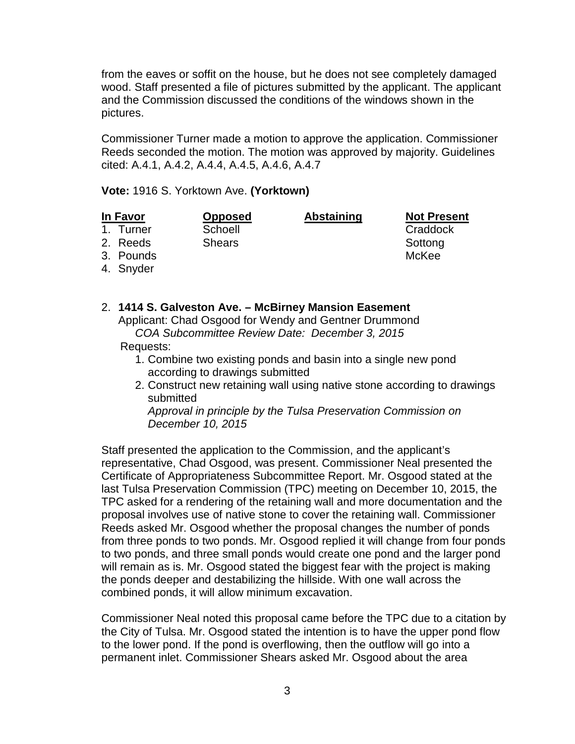from the eaves or soffit on the house, but he does not see completely damaged wood. Staff presented a file of pictures submitted by the applicant. The applicant and the Commission discussed the conditions of the windows shown in the pictures.

Commissioner Turner made a motion to approve the application. Commissioner Reeds seconded the motion. The motion was approved by majority. Guidelines cited: A.4.1, A.4.2, A.4.4, A.4.5, A.4.6, A.4.7

**Vote:** 1916 S. Yorktown Ave. **(Yorktown)**

#### **In Favor Opposed Abstaining Not Present**

1. Turner Craddock Schoell Craddock Craddock

2. Reeds Shears Shears Sottong

- 3. Pounds McKee
- 4. Snyder

2. **1414 S. Galveston Ave. – McBirney Mansion Easement** Applicant: Chad Osgood for Wendy and Gentner Drummond *COA Subcommittee Review Date: December 3, 2015*

### Requests:

- 1. Combine two existing ponds and basin into a single new pond according to drawings submitted
- 2. Construct new retaining wall using native stone according to drawings submitted

*Approval in principle by the Tulsa Preservation Commission on December 10, 2015*

Staff presented the application to the Commission, and the applicant's representative, Chad Osgood, was present. Commissioner Neal presented the Certificate of Appropriateness Subcommittee Report. Mr. Osgood stated at the last Tulsa Preservation Commission (TPC) meeting on December 10, 2015, the TPC asked for a rendering of the retaining wall and more documentation and the proposal involves use of native stone to cover the retaining wall. Commissioner Reeds asked Mr. Osgood whether the proposal changes the number of ponds from three ponds to two ponds. Mr. Osgood replied it will change from four ponds to two ponds, and three small ponds would create one pond and the larger pond will remain as is. Mr. Osgood stated the biggest fear with the project is making the ponds deeper and destabilizing the hillside. With one wall across the combined ponds, it will allow minimum excavation.

Commissioner Neal noted this proposal came before the TPC due to a citation by the City of Tulsa. Mr. Osgood stated the intention is to have the upper pond flow to the lower pond. If the pond is overflowing, then the outflow will go into a permanent inlet. Commissioner Shears asked Mr. Osgood about the area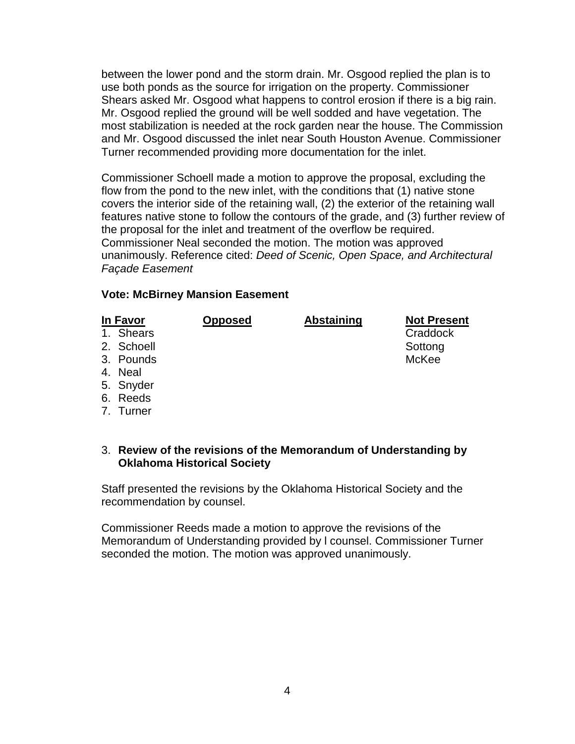between the lower pond and the storm drain. Mr. Osgood replied the plan is to use both ponds as the source for irrigation on the property. Commissioner Shears asked Mr. Osgood what happens to control erosion if there is a big rain. Mr. Osgood replied the ground will be well sodded and have vegetation. The most stabilization is needed at the rock garden near the house. The Commission and Mr. Osgood discussed the inlet near South Houston Avenue. Commissioner Turner recommended providing more documentation for the inlet.

Commissioner Schoell made a motion to approve the proposal, excluding the flow from the pond to the new inlet, with the conditions that (1) native stone covers the interior side of the retaining wall, (2) the exterior of the retaining wall features native stone to follow the contours of the grade, and (3) further review of the proposal for the inlet and treatment of the overflow be required. Commissioner Neal seconded the motion. The motion was approved unanimously. Reference cited: *Deed of Scenic, Open Space, and Architectural Façade Easement*

#### **Vote: McBirney Mansion Easement**

- 1. Shears **Craddock Craddock Craddock Craddock**
- 2. Schoell Sottong Sottong Sottong Sottong Sottong Sottong Sottong Sottong Sottong Sottong Sottong Sottong Sottong Sottong Sottong Sottong Sottong Sottong Sottong Sottong Sottong Sottong Sottong Sottong Sottong Sottong Sot
- 3. Pounds McKee
- 4. Neal
- 5. Snyder
- 6. Reeds
- 7. Turner

### 3. **Review of the revisions of the Memorandum of Understanding by Oklahoma Historical Society**

Staff presented the revisions by the Oklahoma Historical Society and the recommendation by counsel.

Commissioner Reeds made a motion to approve the revisions of the Memorandum of Understanding provided by l counsel. Commissioner Turner seconded the motion. The motion was approved unanimously.

**In Favor Opposed Abstaining Not Present**